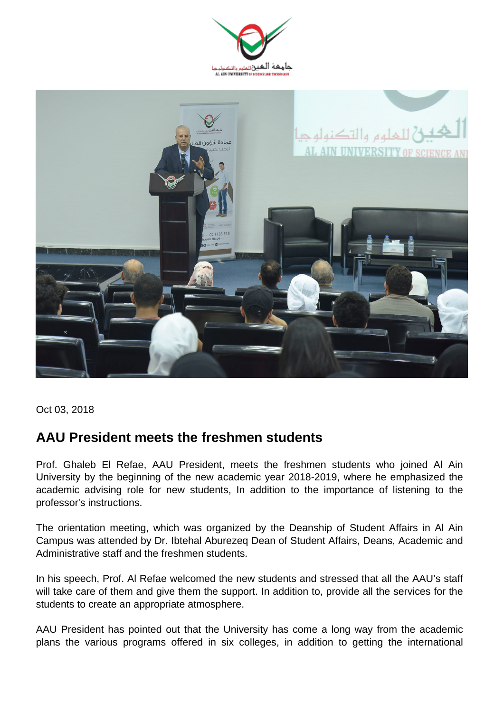



Oct 03, 2018

## **AAU President meets the freshmen students**

Prof. Ghaleb El Refae, AAU President, meets the freshmen students who joined Al Ain University by the beginning of the new academic year 2018-2019, where he emphasized the academic advising role for new students, In addition to the importance of listening to the professor's instructions.

The orientation meeting, which was organized by the Deanship of Student Affairs in Al Ain Campus was attended by Dr. Ibtehal Aburezeq Dean of Student Affairs, Deans, Academic and Administrative staff and the freshmen students.

In his speech, Prof. Al Refae welcomed the new students and stressed that all the AAU's staff will take care of them and give them the support. In addition to, provide all the services for the students to create an appropriate atmosphere.

AAU President has pointed out that the University has come a long way from the academic plans the various programs offered in six colleges, in addition to getting the international